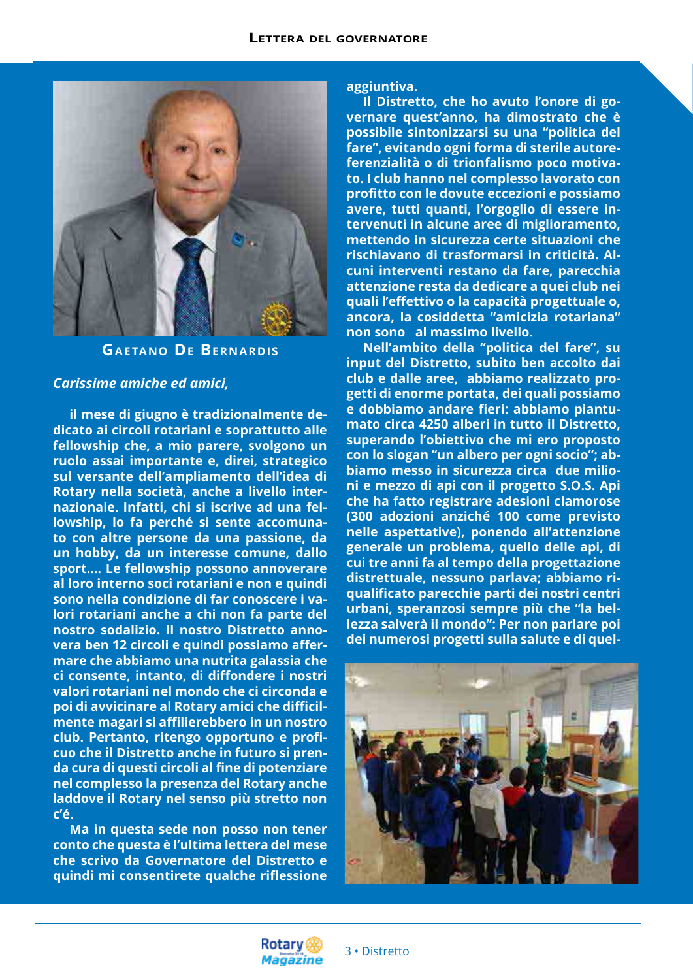

## **Gaetano De Bernardis**

#### *Carissime amiche ed amici,*

**il mese di giugno è tradizionalmente dedicato ai circoli rotariani e soprattutto alle fellowship che, a mio parere, svolgono un ruolo assai importante e, direi, strategico sul versante dell'ampliamento dell'idea di Rotary nella società, anche a livello internazionale. Infatti, chi si iscrive ad una fellowship, lo fa perché si sente accomunato con altre persone da una passione, da un hobby, da un interesse comune, dallo sport…. Le fellowship possono annoverare al loro interno soci rotariani e non e quindi sono nella condizione di far conoscere i valori rotariani anche a chi non fa parte del nostro sodalizio. Il nostro Distretto annovera ben 12 circoli e quindi possiamo affermare che abbiamo una nutrita galassia che ci consente, intanto, di diffondere i nostri valori rotariani nel mondo che ci circonda e poi di avvicinare al Rotary amici che difficilmente magari si affilierebbero in un nostro club. Pertanto, ritengo opportuno e proficuo che il Distretto anche in futuro si prenda cura di questi circoli al fine di potenziare nel complesso la presenza del Rotary anche laddove il Rotary nel senso più stretto non c'é.**

**Ma in questa sede non posso non tener conto che questa è l'ultima lettera del mese che scrivo da Governatore del Distretto e quindi mi consentirete qualche riflessione** 

**aggiuntiva.**

**Il Distretto, che ho avuto l'onore di governare quest'anno, ha dimostrato che è possibile sintonizzarsi su una "politica del fare", evitando ogni forma di sterile autoreferenzialità o di trionfalismo poco motivato. I club hanno nel complesso lavorato con profitto con le dovute eccezioni e possiamo avere, tutti quanti, l'orgoglio di essere intervenuti in alcune aree di miglioramento, mettendo in sicurezza certe situazioni che rischiavano di trasformarsi in criticità. Alcuni interventi restano da fare, parecchia attenzione resta da dedicare a quei club nei quali l'effettivo o la capacità progettuale o, ancora, la cosiddetta "amicizia rotariana" non sono al massimo livello.**

**Nell'ambito della "politica del fare", su input del Distretto, subito ben accolto dai club e dalle aree, abbiamo realizzato progetti di enorme portata, dei quali possiamo e dobbiamo andare fieri: abbiamo piantumato circa 4250 alberi in tutto il Distretto, superando l'obiettivo che mi ero proposto con lo slogan "un albero per ogni socio"; abbiamo messo in sicurezza circa due milioni e mezzo di api con il progetto S.O.S. Api che ha fatto registrare adesioni clamorose (300 adozioni anziché 100 come previsto nelle aspettative), ponendo all'attenzione generale un problema, quello delle api, di cui tre anni fa al tempo della progettazione distrettuale, nessuno parlava; abbiamo riqualificato parecchie parti dei nostri centri urbani, speranzosi sempre più che "la bellezza salverà il mondo": Per non parlare poi dei numerosi progetti sulla salute e di quel-**



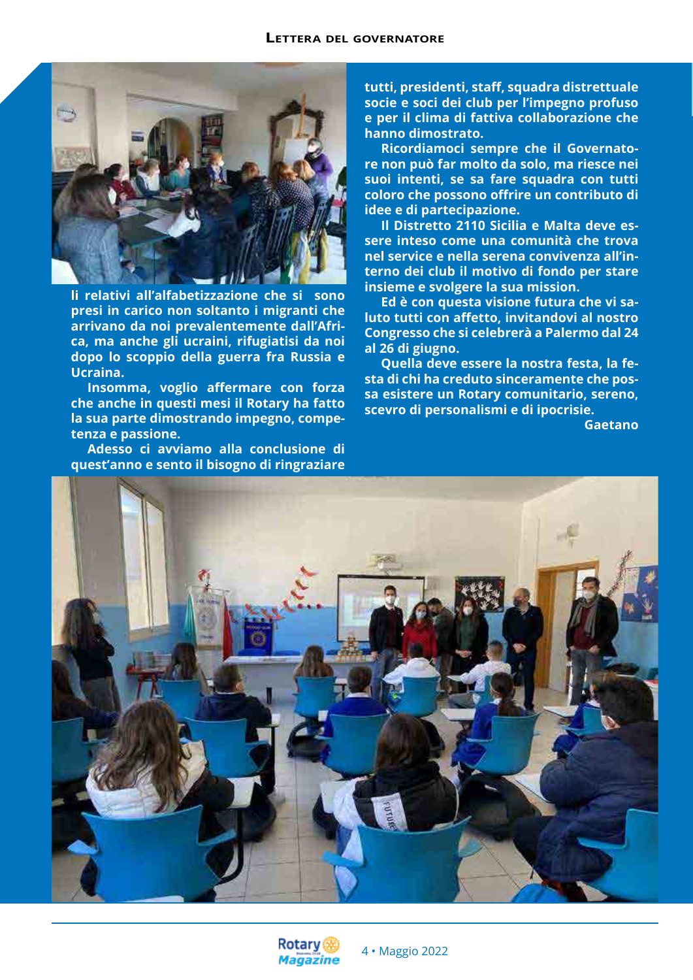

**li relativi all'alfabetizzazione che si sono presi in carico non soltanto i migranti che arrivano da noi prevalentemente dall'Africa, ma anche gli ucraini, rifugiatisi da noi dopo lo scoppio della guerra fra Russia e Ucraina.**

**Insomma, voglio affermare con forza che anche in questi mesi il Rotary ha fatto la sua parte dimostrando impegno, competenza e passione.**

**Adesso ci avviamo alla conclusione di quest'anno e sento il bisogno di ringraziare**  **tutti, presidenti, staff, squadra distrettuale socie e soci dei club per l'impegno profuso e per il clima di fattiva collaborazione che hanno dimostrato.**

**Ricordiamoci sempre che il Governatore non può far molto da solo, ma riesce nei suoi intenti, se sa fare squadra con tutti coloro che possono offrire un contributo di idee e di partecipazione.**

**Il Distretto 2110 Sicilia e Malta deve essere inteso come una comunità che trova nel service e nella serena convivenza all'interno dei club il motivo di fondo per stare insieme e svolgere la sua mission.**

**Ed è con questa visione futura che vi saluto tutti con affetto, invitandovi al nostro Congresso che si celebrerà a Palermo dal 24 al 26 di giugno.**

**Quella deve essere la nostra festa, la festa di chi ha creduto sinceramente che possa esistere un Rotary comunitario, sereno, scevro di personalismi e di ipocrisie.**

**Gaetano**



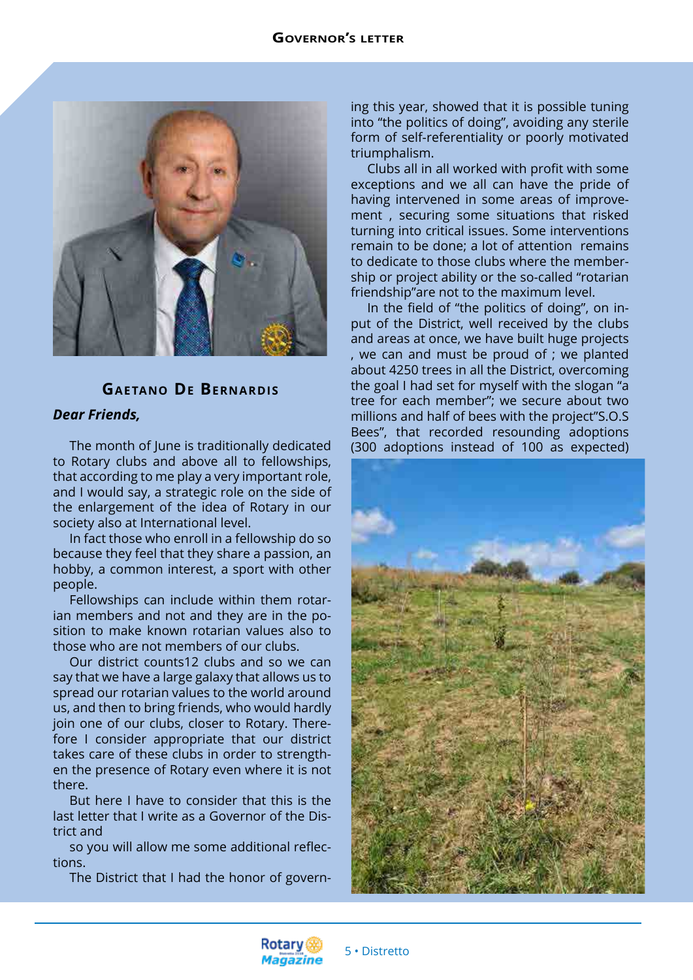

# **Gaetano De Bernardis**

## *Dear Friends,*

The month of June is traditionally dedicated to Rotary clubs and above all to fellowships, that according to me play a very important role, and I would say, a strategic role on the side of the enlargement of the idea of Rotary in our society also at International level.

In fact those who enroll in a fellowship do so because they feel that they share a passion, an hobby, a common interest, a sport with other people.

Fellowships can include within them rotarian members and not and they are in the position to make known rotarian values also to those who are not members of our clubs.

Our district counts12 clubs and so we can say that we have a large galaxy that allows us to spread our rotarian values to the world around us, and then to bring friends, who would hardly join one of our clubs, closer to Rotary. Therefore I consider appropriate that our district takes care of these clubs in order to strengthen the presence of Rotary even where it is not there.

But here I have to consider that this is the last letter that I write as a Governor of the District and

so you will allow me some additional reflections.

The District that I had the honor of govern-

ing this year, showed that it is possible tuning into "the politics of doing", avoiding any sterile form of self-referentiality or poorly motivated triumphalism.

Clubs all in all worked with profit with some exceptions and we all can have the pride of having intervened in some areas of improvement , securing some situations that risked turning into critical issues. Some interventions remain to be done; a lot of attention remains to dedicate to those clubs where the membership or project ability or the so-called "rotarian friendship"are not to the maximum level.

In the field of "the politics of doing", on input of the District, well received by the clubs and areas at once, we have built huge projects , we can and must be proud of ; we planted about 4250 trees in all the District, overcoming the goal I had set for myself with the slogan "a tree for each member"; we secure about two millions and half of bees with the project"S.O.S Bees", that recorded resounding adoptions (300 adoptions instead of 100 as expected)